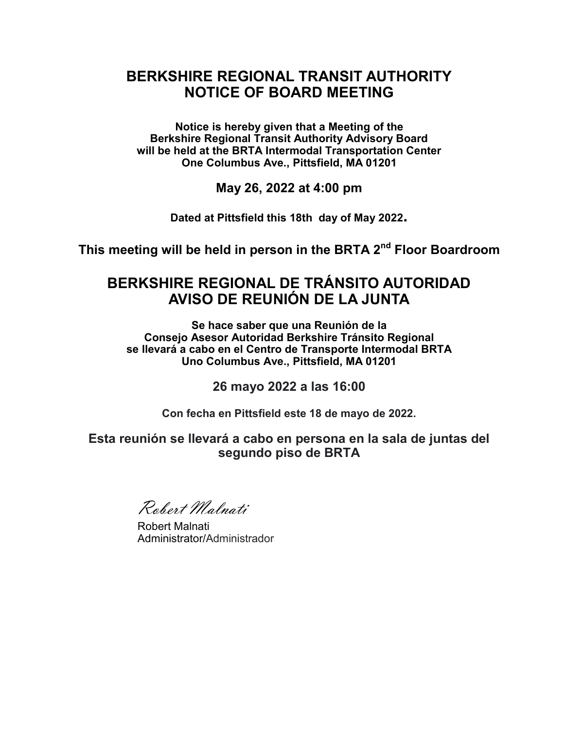## **BERKSHIRE REGIONAL TRANSIT AUTHORITY NOTICE OF BOARD MEETING**

**Notice is hereby given that a Meeting of the Berkshire Regional Transit Authority Advisory Board will be held at the BRTA Intermodal Transportation Center One Columbus Ave., Pittsfield, MA 01201**

**May 26, 2022 at 4:00 pm** 

**Dated at Pittsfield this 18th day of May 2022.**

**This meeting will be held in person in the BRTA 2nd Floor Boardroom**

## **BERKSHIRE REGIONAL DE TRÁNSITO AUTORIDAD AVISO DE REUNIÓN DE LA JUNTA**

**Se hace saber que una Reunión de la Consejo Asesor Autoridad Berkshire Tránsito Regional se llevará a cabo en el Centro de Transporte Intermodal BRTA Uno Columbus Ave., Pittsfield, MA 01201**

**26 mayo 2022 a las 16:00**

**Con fecha en Pittsfield este 18 de mayo de 2022.**

**Esta reunión se llevará a cabo en persona en la sala de juntas del segundo piso de BRTA**

Robert Malnati

Robert Malnati Administrator/Administrador